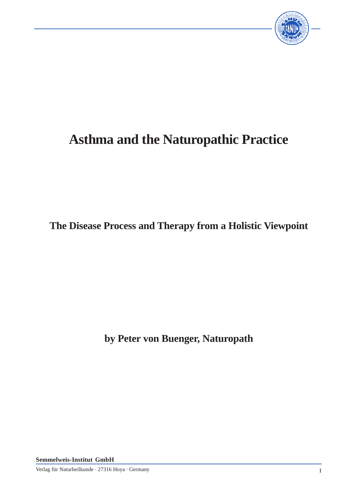

# **Asthma and the Naturopathic Practice**

**The Disease Process and Therapy from a Holistic Viewpoint**

**by Peter von Buenger, Naturopath**

**Semmelweis-Institut GmbH**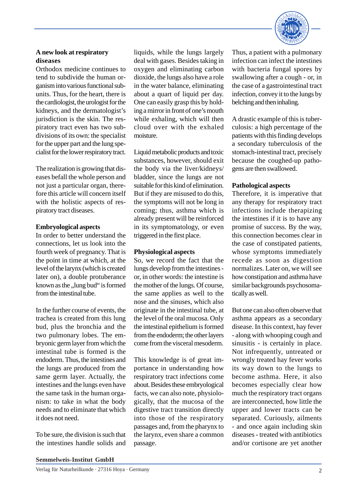

# **A new look at respiratory diseases**

Orthodox medicine continues to tend to subdivide the human organism into various functional subunits. Thus, for the heart, there is the cardiologist, the urologist for the kidneys, and the dermatologist's jurisdiction is the skin. The respiratory tract even has two subdivisions of its own: the specialist for the upper part and the lung specialist for the lower respiratory tract.

The realization is growing that diseases befall the whole person and not just a particular organ, therefore this article will concern itself with the holistic aspects of respiratory tract diseases.

## **Embryological aspects**

In order to better understand the connections, let us look into the fourth week of pregnancy. That is the point in time at which, at the level of the larynx (which is created later on), a double protuberance known as the "lung bud" is formed from the intestinal tube.

In the further course of events, the trachea is created from this lung bud, plus the bronchia and the two pulmonary lobes. The embryonic germ layer from which the intestinal tube is formed is the endoderm. Thus, the intestines and the lungs are produced from the same germ layer. Actually, the intestines and the lungs even have the same task in the human organism: to take in what the body needs and to eliminate that which it does not need.

To be sure, the division is such that the intestines handle solids and liquids, while the lungs largely deal with gases. Besides taking in oxygen and eliminating carbon dioxide, the lungs also have a role in the water balance, eliminating about a quart of liquid per day. One can easily grasp this by holding a mirror in front of one's mouth while exhaling, which will then cloud over with the exhaled moisture.

Liquid metabolic products and toxic substances, however, should exit the body via the liver/kidneys/ bladder, since the lungs are not suitable for this kind of elimination. But if they are misused to do this, the symptoms will not be long in coming; thus, asthma which is already present will be reinforced in its symptomatology, or even triggered in the first place.

# **Physiological aspects**

So, we record the fact that the lungs develop from the intestines or, in other words: the intestine is the mother of the lungs. Of course, the same applies as well to the nose and the sinuses, which also originate in the intestinal tube, at the level of the oral mucosa. Only the intestinal epithelium is formed from the endoderm; the other layers come from the visceral mesoderm.

This knowledge is of great importance in understanding how respiratory tract infections come about. Besides these embryological facts, we can also note, physiologically, that the mucosa of the digestive tract transition directly into those of the respiratory passages and, from the pharynx to the larynx, even share a common passage.

Thus, a patient with a pulmonary infection can infect the intestines with bacteria fungal spores by swallowing after a cough - or, in the case of a gastrointestinal tract infection, convey it to the lungs by belching and then inhaling.

A drastic example of this is tuberculosis: a high percentage of the patients with this finding develops a secondary tuberculosis of the stomach-intestinal tract, precisely because the coughed-up pathogens are then swallowed.

# **Pathological aspects**

Therefore, it is imperative that any therapy for respiratory tract infections include therapizing the intestines if it is to have any promise of success. By the way, this connection becomes clear in the case of constipated patients, whose symptoms immediately recede as soon as digestion normalizes. Later on, we will see how constipation and asthma have similar backgrounds psychosomatically as well.

But one can also often observe that asthma appears as a secondary disease. In this context, hay fever - along with whooping cough and sinusitis - is certainly in place. Not infrequently, untreated or wrongly treated hay fever works its way down to the lungs to become asthma. Here, it also becomes especially clear how much the respiratory tract organs are interconnected, how little the upper and lower tracts can be separated. Curiously, ailments - and once again including skin diseases - treated with antibiotics and/or cortisone are yet another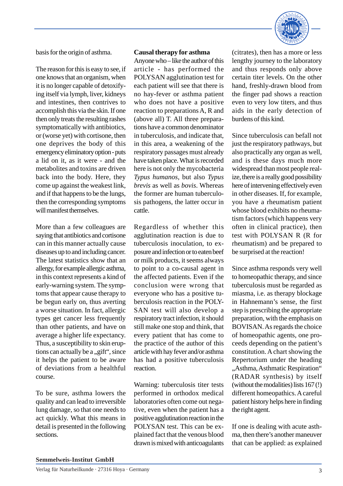

basis for the origin of asthma.

The reason for this is easy to see, if one knows that an organism, when it is no longer capable of detoxifying itself via lymph, liver, kidneys and intestines, then contrives to accomplish this via the skin. If one then only treats the resulting rashes symptomatically with antibiotics, or (worse yet) with cortisone, then one deprives the body of this emergency eliminatory option - puts a lid on it, as it were - and the metabolites and toxins are driven back into the body. Here, they come up against the weakest link, and if that happens to be the lungs, then the corresponding symptoms will manifest themselves.

More than a few colleagues are saying that antibiotics and cortisone can in this manner actually cause diseases up to and including cancer. The latest statistics show that an allergy, for example allergic asthma, in this context represents a kind of early-warning system. The symptoms that appear cause therapy to be begun early on, thus averting a worse situation. In fact, allergic types get cancer less frequently than other patients, and have on average a higher life expectancy. Thus, a susceptibility to skin eruptions can actually be a  $,$  gift", since it helps the patient to be aware of deviations from a healthful course.

To be sure, asthma lowers the quality and can lead to irreversible lung damage, so that one needs to act quickly. What this means in detail is presented in the following sections.

# **Causal therapy for asthma**

Anyone who – like the author of this article - has performed the POLYSAN agglutination test for each patient will see that there is no hay-fever or asthma patient who does not have a positive reaction to preparations A, R and (above all) T. All three preparations have a common denominator in tuberculosis, and indicate that, in this area, a weakening of the respiratory passages must already have taken place. What is recorded here is not only the mycobacteria *Typus humanos*, but also *Typus brevis* as well as *bovis*. Whereas the former are human tuberculosis pathogens, the latter occur in cattle.

Regardless of whether this agglutination reaction is due to tuberculosis inoculation, to exposure and infection or to eaten beef or milk products, it seems always to point to a co-causal agent in the affected patients. Even if the conclusion were wrong that everyone who has a positive tuberculosis reaction in the POLY-SAN test will also develop a respiratory tract infection, it should still make one stop and think, that every patient that has come to the practice of the author of this article with hay fever and/or asthma has had a positive tuberculosis reaction.

Warning: tuberculosis titer tests performed in orthodox medical laboratories often come out negative, even when the patient has a positive agglutination reaction in the POLYSAN test. This can be explained fact that the venous blood drawn is mixed with anticoagulants (citrates), then has a more or less lengthy journey to the laboratory and thus responds only above certain titer levels. On the other hand, freshly-drawn blood from the finger pad shows a reaction even to very low titers, and thus aids in the early detection of burdens of this kind.

Since tuberculosis can befall not just the respiratory pathways, but also practically any organ as well, and is these days much more widespread than most people realize, there is a really good possibility here of intervening effectively even in other diseases. If, for example, you have a rheumatism patient whose blood exhibits no rheumatism factors (which happens very often in clinical practice), then test with POLYSAN R (R for rheumatism) and be prepared to be surprised at the reaction!

Since asthma responds very well to homeopathic therapy, and since tuberculosis must be regarded as miasma, i.e. as therapy blockage in Hahnemann's sense, the first step is prescribing the appropriate preparation, with the emphasis on BOVISAN. As regards the choice of homeopathic agents, one proceeds depending on the patient's constitution. A chart showing the Repertorium under the heading "Asthma, Asthmatic Respiration" (RADAR synthesis) by itself (without the modalities) lists 167 (!) different homeopathics. A careful patient history helps here in finding the right agent.

If one is dealing with acute asthma, then there's another maneuver that can be applied: as explained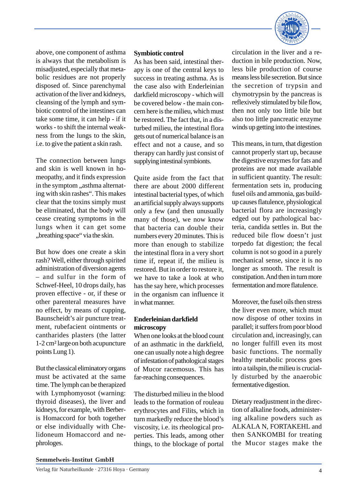

above, one component of asthma is always that the metabolism is misadjusted, especially that metabolic residues are not properly disposed of. Since parenchymal activation of the liver and kidneys, cleansing of the lymph and symbiotic control of the intestines can take some time, it can help - if it works - to shift the internal weakness from the lungs to the skin, i.e. to give the patient a skin rash.

The connection between lungs and skin is well known in homeopathy, and it finds expression in the symptom "asthma alternating with skin rashes". This makes clear that the toxins simply must be eliminated, that the body will cease creating symptoms in the lungs when it can get some "breathing space" via the skin.

But how does one create a skin rash? Well, either through spirited administration of diversion agents – and sulfur in the form of Schwef-Heel, 10 drops daily, has proven effective - or, if these or other parenteral measures have no effect, by means of cupping, Baunscheidt's air puncture treatment, rubefacient ointments or cantharides plasters (the latter 1-2 cm² largeon both acupuncture points Lung 1).

But the classical eliminatory organs must be activated at the same time. The lymph can be therapized with Lymphomyosot (warning: thyroid diseases), the liver and kidneys, for example, with Berberis Homaccord for both together or else individually with Chelidoneum Homaccord and nephrologes.

#### **Symbiotic control**

As has been said, intestinal therapy is one of the central keys to success in treating asthma. As is the case also with Enderleinian darkfield microscopy - which will be covered below - the main concern here is the milieu, which must be restored. The fact that, in a disturbed milieu, the intestinal flora gets out of numerical balance is an effect and not a cause, and so therapy can hardly just consist of supplying intestinal symbionts.

Quite aside from the fact that there are about 2000 different intestinal bacterial types, of which an artificial supply always supports only a few (and then unusually many of those), we now know that bacteria can double their numbers every 20 minutes. This is more than enough to stabilize the intestinal flora in a very short time if, repeat if, the milieu is restored. But in order to restore it, we have to take a look at who has the say here, which processes in the organism can influence it in what manner.

## **Enderleinian darkfield microscopy**

When one looks at the blood count of an asthmatic in the darkfield, one can usually note a high degree of infestation of pathological stages of Mucor racemosus. This has far-reaching consequences.

The disturbed milieu in the blood leads to the formation of rouleau erythrocytes and Filits, which in turn markedly reduce the blood's viscosity, i.e. its rheological properties. This leads, among other things, to the blockage of portal

circulation in the liver and a reduction in bile production. Now, less bile production of course means less bile secretion. But since the secretion of trypsin and chymotrypsin by the pancreas is reflexively stimulated by bile flow, then not only too little bile but also too little pancreatic enzyme winds up getting into the intestines.

This means, in turn, that digestion cannot properly start up, because the digestive enzymes for fats and proteins are not made available in sufficient quantity. The result: fermentation sets in, producing fusel oils and ammonia, gas buildup causes flatulence, physiological bacterial flora are increasingly edged out by pathological bacteria, candida settles in. But the reduced bile flow doesn't just torpedo fat digestion; the fecal column is not so good in a purely mechanical sense, since it is no longer as smooth. The result is constipation. And then in turn more fermentation and more flatulence.

Moreover, the fusel oils then stress the liver even more, which must now dispose of other toxins in parallel; it suffers from poor blood circulation and, increasingly, can no longer fulfill even its most basic functions. The normally healthy metabolic process goes into a tailspin, the milieu is crucially disturbed by the anaerobic fermentative digestion.

Dietary readjustment in the direction of alkaline foods, administering alkaline powders such as ALKALA N, FORTAKEHL and then SANKOMBI for treating the Mucor stages make the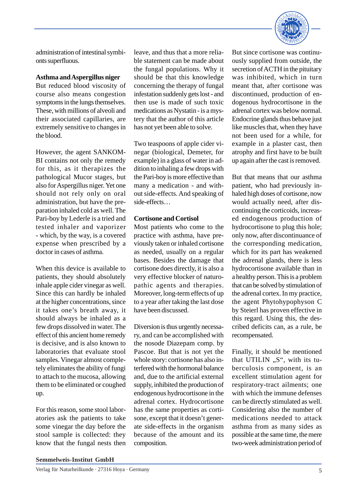

administration of intestinal symbionts superfluous.

## **Asthma and Aspergillus niger**

But reduced blood viscosity of course also means congestion symptoms in the lungs themselves. These, with millions of alveoli and their associated capillaries, are extremely sensitive to changes in the blood.

However, the agent SANKOM-BI contains not only the remedy for this, as it therapizes the pathological Mucor stages, but also for Aspergillus niger. Yet one should not rely only on oral administration, but have the preparation inhaled cold as well. The Pari-boy by Lederle is a tried and tested inhaler and vaporizer - which, by the way, is a covered expense when prescribed by a doctor in cases of asthma.

When this device is available to patients, they should absolutely inhale apple cider vinegar as well. Since this can hardly be inhaled at the higher concentrations, since it takes one's breath away, it should always be inhaled as a few drops dissolved in water. The effect of this ancient home remedy is decisive, and is also known to laboratories that evaluate stool samples. Vinegar almost completely eliminates the ability of fungi to attach to the mucosa, allowing them to be eliminated or coughed up.

For this reason, some stool laboratories ask the patients to take some vinegar the day before the stool sample is collected: they know that the fungal nests then leave, and thus that a more reliable statement can be made about the fungal populations. Why it should be that this knowledge concerning the therapy of fungal infestation suddenly gets lost - and then use is made of such toxic medications as Nystatin - is a mystery that the author of this article has not yet been able to solve.

Two teaspoons of apple cider vinegar (biological, Demeter, for example) in a glass of water in addition to inhaling a few drops with the Pari-boy is more effective than many a medication - and without side-effects. And speaking of side-effects…

## **Cortisone and Cortisol**

Most patients who come to the practice with asthma, have previously taken or inhaled cortisone as needed, usually on a regular bases. Besides the damage that cortisone does directly, it is also a very effective blocker of naturopathic agents and therapies. Moreover, long-term effects of up to a year after taking the last dose have been discussed.

Diversion is thus urgently necessary, and can be accomplished with the nosode Diazepam comp. by Pascoe. But that is not yet the whole story: cortisone has also interfered with the hormonal balance and, due to the artificial external supply, inhibited the production of endogenous hydrocortisone in the adrenal cortex. Hydrocortisone has the same properties as cortisone, except that it doesn't generate side-effects in the organism because of the amount and its composition.

But since cortisone was continuously supplied from outside, the secretion of ACTH in the pituitary was inhibited, which in turn meant that, after cortisone was discontinued, production of endogenous hydrocortisone in the adrenal cortex was below normal. Endocrine glands thus behave just like muscles that, when they have not been used for a while, for example in a plaster cast, then atrophy and first have to be built up again after the cast is removed.

But that means that our asthma patient, who had previously inhaled high doses of cortisone, now would actually need, after discontinuing the corticoids, increased endogenous production of hydrocortisone to plug this hole; only now, after discontinuance of the corresponding medication, which for its part has weakened the adrenal glands, there is less hydrocortisone available than in a healthy person. This is a problem that can be solved by stimulation of the adrenal cortex. In my practice, the agent Phytohypophyson C by Steierl has proven effective in this regard. Using this, the described deficits can, as a rule, be recompensated.

Finally, it should be mentioned that UTILIN  $\mathcal{S}$ ", with its tuberculosis component, is an excellent stimulation agent for respiratory-tract ailments; one with which the immune defenses can be directly stimulated as well. Considering also the number of medications needed to attack asthma from as many sides as possible at the same time, the mere two-week administration period of